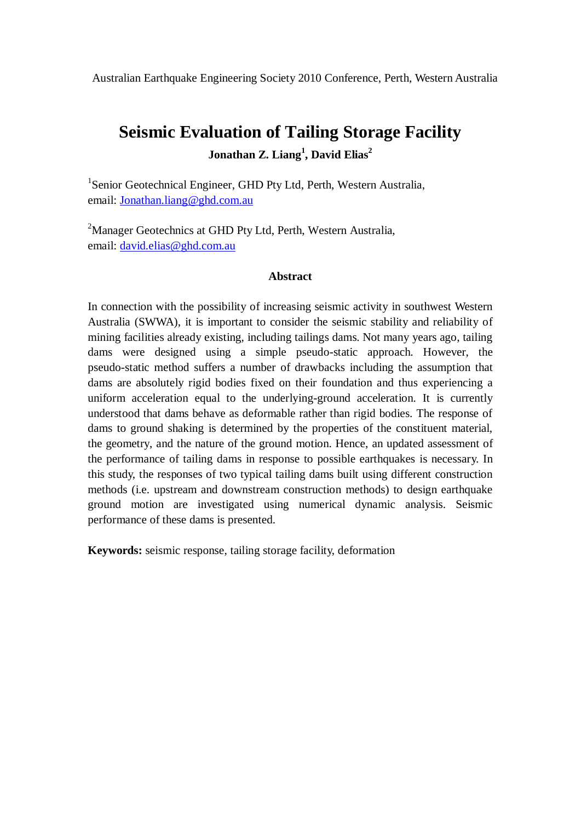Australian Earthquake Engineering Society 2010 Conference, Perth, Western Australia

## **Seismic Evaluation of Tailing Storage Facility Jonathan Z. Liang<sup>1</sup> , David Elias<sup>2</sup>**

<sup>1</sup>Senior Geotechnical Engineer, GHD Pty Ltd, Perth, Western Australia, email: Jonathan.liang@ghd.com.au

<sup>2</sup>Manager Geotechnics at GHD Pty Ltd, Perth, Western Australia, email: david.elias@ghd.com.au

#### **Abstract**

In connection with the possibility of increasing seismic activity in southwest Western Australia (SWWA), it is important to consider the seismic stability and reliability of mining facilities already existing, including tailings dams. Not many years ago, tailing dams were designed using a simple pseudo-static approach. However, the pseudo-static method suffers a number of drawbacks including the assumption that dams are absolutely rigid bodies fixed on their foundation and thus experiencing a uniform acceleration equal to the underlying-ground acceleration. It is currently understood that dams behave as deformable rather than rigid bodies. The response of dams to ground shaking is determined by the properties of the constituent material, the geometry, and the nature of the ground motion. Hence, an updated assessment of the performance of tailing dams in response to possible earthquakes is necessary. In this study, the responses of two typical tailing dams built using different construction methods (i.e. upstream and downstream construction methods) to design earthquake ground motion are investigated using numerical dynamic analysis. Seismic performance of these dams is presented.

**Keywords:** seismic response, tailing storage facility, deformation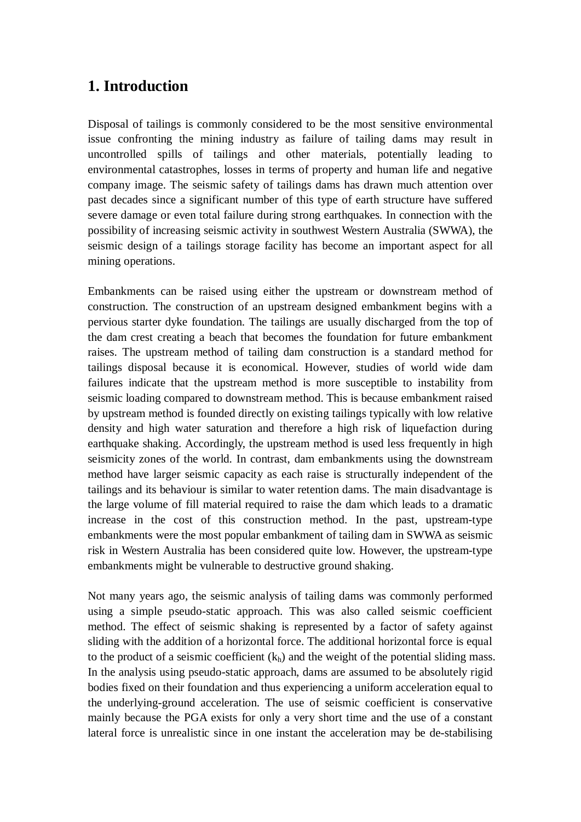### **1. Introduction**

Disposal of tailings is commonly considered to be the most sensitive environmental issue confronting the mining industry as failure of tailing dams may result in uncontrolled spills of tailings and other materials, potentially leading to environmental catastrophes, losses in terms of property and human life and negative company image. The seismic safety of tailings dams has drawn much attention over past decades since a significant number of this type of earth structure have suffered severe damage or even total failure during strong earthquakes. In connection with the possibility of increasing seismic activity in southwest Western Australia (SWWA), the seismic design of a tailings storage facility has become an important aspect for all mining operations.

Embankments can be raised using either the upstream or downstream method of construction. The construction of an upstream designed embankment begins with a pervious starter dyke foundation. The tailings are usually discharged from the top of the dam crest creating a beach that becomes the foundation for future embankment raises. The upstream method of tailing dam construction is a standard method for tailings disposal because it is economical. However, studies of world wide dam failures indicate that the upstream method is more susceptible to instability from seismic loading compared to downstream method. This is because embankment raised by upstream method is founded directly on existing tailings typically with low relative density and high water saturation and therefore a high risk of liquefaction during earthquake shaking. Accordingly, the upstream method is used less frequently in high seismicity zones of the world. In contrast, dam embankments using the downstream method have larger seismic capacity as each raise is structurally independent of the tailings and its behaviour is similar to water retention dams. The main disadvantage is the large volume of fill material required to raise the dam which leads to a dramatic increase in the cost of this construction method. In the past, upstream-type embankments were the most popular embankment of tailing dam in SWWA as seismic risk in Western Australia has been considered quite low. However, the upstream-type embankments might be vulnerable to destructive ground shaking.

Not many years ago, the seismic analysis of tailing dams was commonly performed using a simple pseudo-static approach. This was also called seismic coefficient method. The effect of seismic shaking is represented by a factor of safety against sliding with the addition of a horizontal force. The additional horizontal force is equal to the product of a seismic coefficient  $(k<sub>h</sub>)$  and the weight of the potential sliding mass. In the analysis using pseudo-static approach, dams are assumed to be absolutely rigid bodies fixed on their foundation and thus experiencing a uniform acceleration equal to the underlying-ground acceleration. The use of seismic coefficient is conservative mainly because the PGA exists for only a very short time and the use of a constant lateral force is unrealistic since in one instant the acceleration may be de-stabilising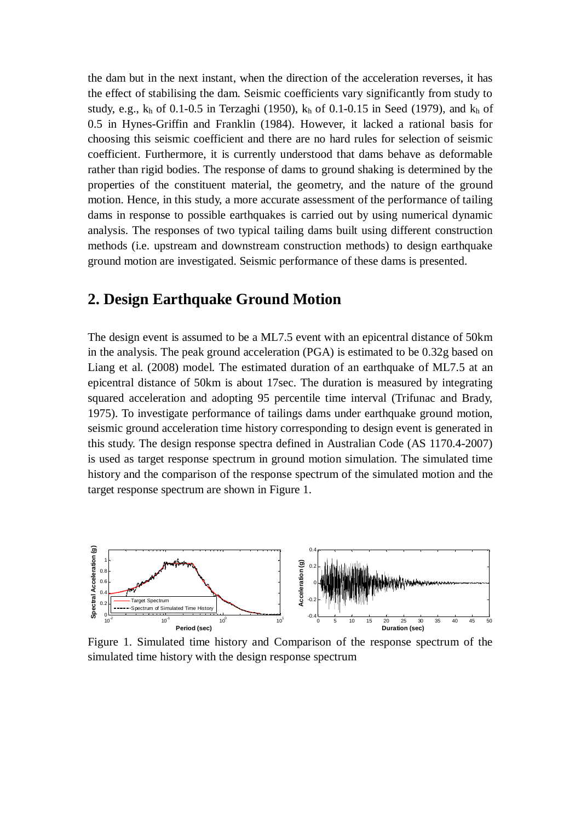the dam but in the next instant, when the direction of the acceleration reverses, it has the effect of stabilising the dam. Seismic coefficients vary significantly from study to study, e.g.,  $k_h$  of 0.1-0.5 in Terzaghi (1950),  $k_h$  of 0.1-0.15 in Seed (1979), and  $k_h$  of 0.5 in Hynes-Griffin and Franklin (1984). However, it lacked a rational basis for choosing this seismic coefficient and there are no hard rules for selection of seismic coefficient. Furthermore, it is currently understood that dams behave as deformable rather than rigid bodies. The response of dams to ground shaking is determined by the properties of the constituent material, the geometry, and the nature of the ground motion. Hence, in this study, a more accurate assessment of the performance of tailing dams in response to possible earthquakes is carried out by using numerical dynamic analysis. The responses of two typical tailing dams built using different construction methods (i.e. upstream and downstream construction methods) to design earthquake ground motion are investigated. Seismic performance of these dams is presented.

### **2. Design Earthquake Ground Motion**

The design event is assumed to be a ML7.5 event with an epicentral distance of 50km in the analysis. The peak ground acceleration (PGA) is estimated to be 0.32g based on Liang et al. (2008) model. The estimated duration of an earthquake of ML7.5 at an epicentral distance of 50km is about 17sec. The duration is measured by integrating squared acceleration and adopting 95 percentile time interval (Trifunac and Brady, 1975). To investigate performance of tailings dams under earthquake ground motion, seismic ground acceleration time history corresponding to design event is generated in this study. The design response spectra defined in Australian Code (AS 1170.4-2007) is used as target response spectrum in ground motion simulation. The simulated time history and the comparison of the response spectrum of the simulated motion and the target response spectrum are shown in Figure 1.



Figure 1. Simulated time history and Comparison of the response spectrum of the simulated time history with the design response spectrum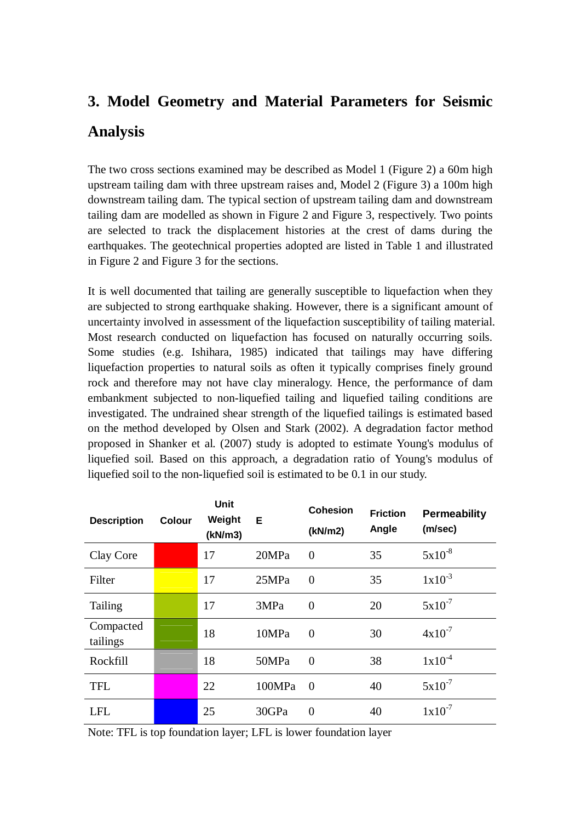# **3. Model Geometry and Material Parameters for Seismic Analysis**

The two cross sections examined may be described as Model 1 (Figure 2) a 60m high upstream tailing dam with three upstream raises and, Model 2 (Figure 3) a 100m high downstream tailing dam. The typical section of upstream tailing dam and downstream tailing dam are modelled as shown in Figure 2 and Figure 3, respectively. Two points are selected to track the displacement histories at the crest of dams during the earthquakes. The geotechnical properties adopted are listed in Table 1 and illustrated in Figure 2 and Figure 3 for the sections.

It is well documented that tailing are generally susceptible to liquefaction when they are subjected to strong earthquake shaking. However, there is a significant amount of uncertainty involved in assessment of the liquefaction susceptibility of tailing material. Most research conducted on liquefaction has focused on naturally occurring soils. Some studies (e.g. Ishihara, 1985) indicated that tailings may have differing liquefaction properties to natural soils as often it typically comprises finely ground rock and therefore may not have clay mineralogy. Hence, the performance of dam embankment subjected to non-liquefied tailing and liquefied tailing conditions are investigated. The undrained shear strength of the liquefied tailings is estimated based on the method developed by Olsen and Stark (2002). A degradation factor method proposed in Shanker et al. (2007) study is adopted to estimate Young's modulus of liquefied soil. Based on this approach, a degradation ratio of Young's modulus of liquefied soil to the non-liquefied soil is estimated to be 0.1 in our study.

| <b>Description</b>    | <b>Colour</b> | Unit<br>Weight<br>(kN/m3) | Е      | <b>Cohesion</b><br>(kN/m2) | <b>Friction</b><br>Angle | <b>Permeability</b><br>(m/sec) |
|-----------------------|---------------|---------------------------|--------|----------------------------|--------------------------|--------------------------------|
| Clay Core             |               | 17                        | 20MPa  | $\Omega$                   | 35                       | $5x10^{-8}$                    |
| Filter                |               | 17                        | 25MPa  | $\theta$                   | 35                       | $1x10^{-3}$                    |
| Tailing               |               | 17                        | 3MPa   | $\overline{0}$             | 20                       | $5x10^{-7}$                    |
| Compacted<br>tailings |               | 18                        | 10MPa  | $\Omega$                   | 30                       | $4x10^{-7}$                    |
| Rockfill              |               | 18                        | 50MPa  | $\Omega$                   | 38                       | $1x10^{-4}$                    |
| <b>TFL</b>            |               | 22                        | 100MPa | $\Omega$                   | 40                       | $5x10^{-7}$                    |
| <b>LFL</b>            |               | 25                        | 30GPa  | $\overline{0}$             | 40                       | $1x10^{-7}$                    |

Note: TFL is top foundation layer; LFL is lower foundation layer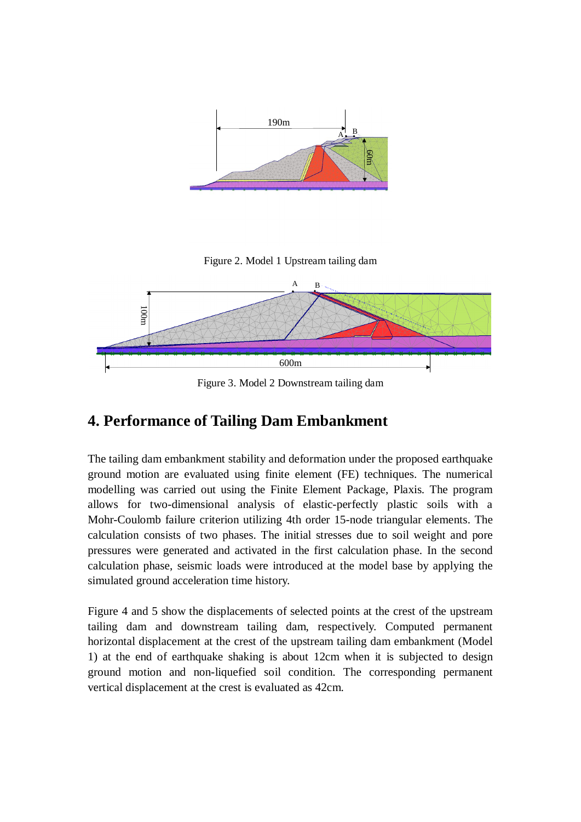

Figure 2. Model 1 Upstream tailing dam



Figure 3. Model 2 Downstream tailing dam

## **4. Performance of Tailing Dam Embankment**

The tailing dam embankment stability and deformation under the proposed earthquake ground motion are evaluated using finite element (FE) techniques. The numerical modelling was carried out using the Finite Element Package, Plaxis. The program allows for two-dimensional analysis of elastic-perfectly plastic soils with a Mohr-Coulomb failure criterion utilizing 4th order 15-node triangular elements. The calculation consists of two phases. The initial stresses due to soil weight and pore pressures were generated and activated in the first calculation phase. In the second calculation phase, seismic loads were introduced at the model base by applying the simulated ground acceleration time history.

Figure 4 and 5 show the displacements of selected points at the crest of the upstream tailing dam and downstream tailing dam, respectively. Computed permanent horizontal displacement at the crest of the upstream tailing dam embankment (Model 1) at the end of earthquake shaking is about 12cm when it is subjected to design ground motion and non-liquefied soil condition. The corresponding permanent vertical displacement at the crest is evaluated as 42cm.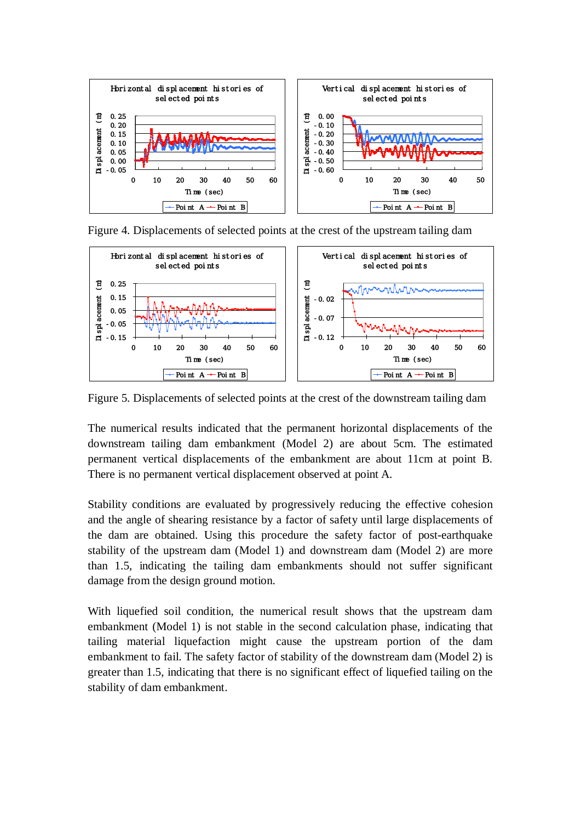

Figure 4. Displacements of selected points at the crest of the upstream tailing dam



Figure 5. Displacements of selected points at the crest of the downstream tailing dam

The numerical results indicated that the permanent horizontal displacements of the downstream tailing dam embankment (Model 2) are about 5cm. The estimated permanent vertical displacements of the embankment are about 11cm at point B. There is no permanent vertical displacement observed at point A.

Stability conditions are evaluated by progressively reducing the effective cohesion and the angle of shearing resistance by a factor of safety until large displacements of the dam are obtained. Using this procedure the safety factor of post-earthquake stability of the upstream dam (Model 1) and downstream dam (Model 2) are more than 1.5, indicating the tailing dam embankments should not suffer significant damage from the design ground motion.

With liquefied soil condition, the numerical result shows that the upstream dam embankment (Model 1) is not stable in the second calculation phase, indicating that tailing material liquefaction might cause the upstream portion of the dam embankment to fail. The safety factor of stability of the downstream dam (Model 2) is greater than 1.5, indicating that there is no significant effect of liquefied tailing on the stability of dam embankment.